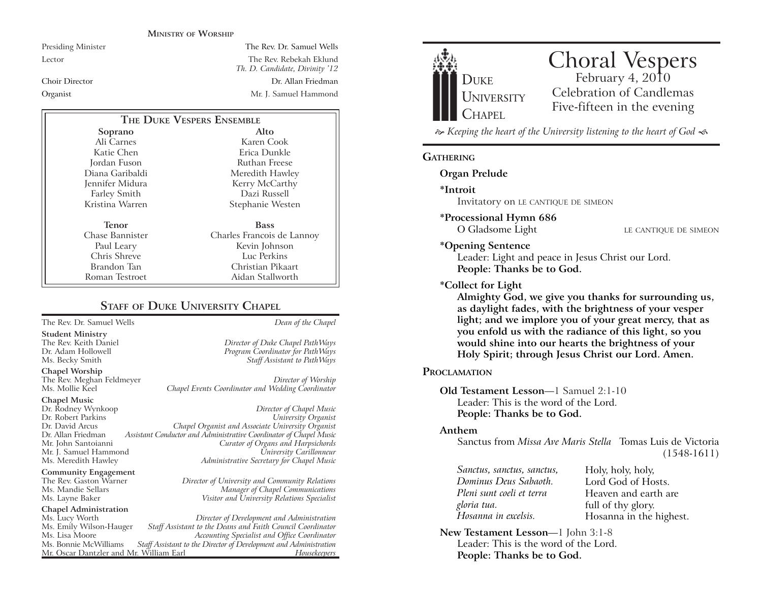#### **MINISTRY OF WORSHIP**

Presiding Minister The Rev. Dr. Samuel Wells Lector The Rev. Rebekah Eklund *Th. D. Candidate, Divinity '12* Choir Director Dr. Allan FriedmanOrganist Mr. J. Samuel Hammond

| THE DUKE VESPERS ENSEMBLE |                            |
|---------------------------|----------------------------|
| Soprano                   | Alto                       |
| Ali Carnes                | Karen Cook                 |
| Katie Chen                | Erica Dunkle               |
| Jordan Fuson              | Ruthan Freese              |
| Diana Garibaldi           | Meredith Hawley            |
| Jennifer Midura           | Kerry McCarthy             |
| <b>Farley Smith</b>       | Dazi Russell               |
| Kristina Warren           | Stephanie Westen           |
| Tenor                     | <b>Bass</b>                |
| Chase Bannister           | Charles Francois de Lannoy |
| Paul Leary                | Kevin Johnson              |
| Chris Shreve              | Luc Perkins                |
| Brandon Tan               | Christian Pikaart          |
| Roman Testroet            | Aidan Stallworth           |

# **STAFF OF DUKE UNIVERSITY CHAPEL**

The Rev. Dr. Samuel Wells *Dean of the Chapel*

**Student Ministry** The Rev. Keith Daniel *Director of Duke Chapel PathWays* Dr. Adam Hollowell *Program Coordinator for PathWays*

**Chapel Worship**

The Rev. Meghan Feldmeyer *Director of Worship* Chapel Events Coordinator and Wedding Coordinator

# **Chapel Music** Mr. J. Samuel Hammond Ms. Meredith Hawley *Administrative Secretary for Chapel Music*

**Community Engagement**<br>The Rev. Gaston Warner

# **Chapel Administration**

Mr. Oscar Dantzler and Mr. William Earl

Dr. Rodney Wynkoop *Director of Chapel Music* Dr. Robert Parkins *University Organist* Dr. David Arcus *Chapel Organist and Associate University Organist* Dr. Allan Friedman *Assistant Conductor and Administrative Coordinator of Chapel Music* Mr. John Santoianni *Curator of Organs and Harpsichords*

The Rev. Gaston Warner *Director of University and Community Relations* Ms. Mandie Sellars *Manager of Chapel Communications* Ms. Layne Baker *Visitor and University Relations Specialist*

Staff Assistant to PathWays

Ms. Lucy Worth *Director of Development and Administration* Ms. Emily Wilson-Hauger *Staff Assistant to the Deans and Faith Council Coordinator* Ms. Lisa Moore *Accounting Specialist and Office Coordinator* Staff Assistant to the Director of Development and Administration<br>*r*. William Earl *Housekeepers* 



 *Keeping the heart of the University listening to the heart of God* 

#### **GATHERING**

**Organ Prelude**

**\*Introit** 

Invitatory on LE CANTIQUE DE SIMEON

**\*Processional Hymn 686**

O Gladsome Light LE CANTIQUE DE SIMEON

#### **\*Opening Sentence**

Leader: Light and peace in Jesus Christ our Lord. **People: Thanks be to God.**

#### **\*Collect for Light**

**Almighty God, we give you thanks for surrounding us, as daylight fades, with the brightness of your vesper light; and we implore you of your great mercy, that as you enfold us with the radiance of this light, so you would shine into our hearts the brightness of your Holy Spirit; through Jesus Christ our Lord. Amen.** 

#### **PROCLAMATION**

**Old Testament Lesson**—1 Samuel 2:1-10 Leader: This is the word of the Lord.**People: Thanks be to God.**

#### **Anthem**

Sanctus from *Missa Ave Maris Stella* Tomas Luis de Victoria(1548-1611)

*Sanctus, sanctus, sanctus, Dominus Deus Sabaoth. Pleni sunt coeli et terra gloria tua. Hosanna in excelsis.*

Holy, holy, holy, Lord God of Hosts.Heaven and earth are full of thy glory. Hosanna in the highest.

**New Testament Lesson**—1 John 3:1-8 Leader: This is the word of the Lord.**People: Thanks be to God.**